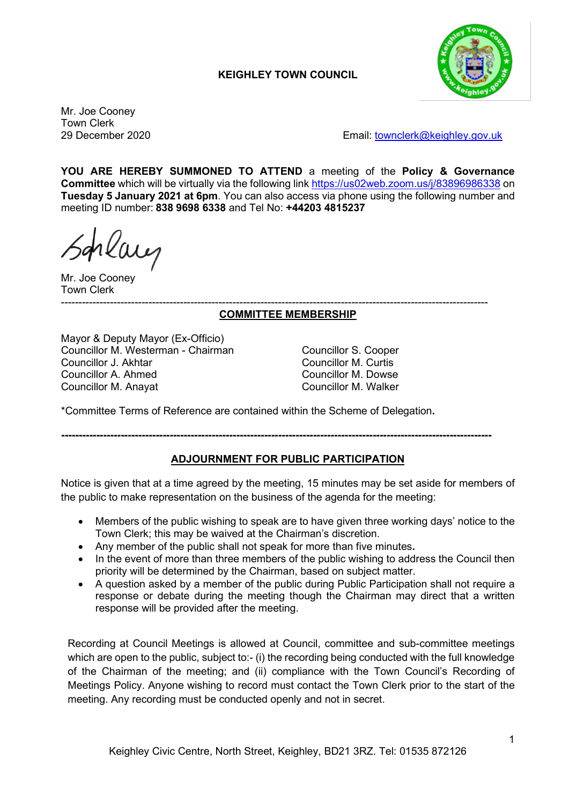# **KEIGHLEY TOWN COUNCIL**



Mr. Joe Cooney Town Clerk

29 December 2020 Email: [townclerk@keighley.gov.uk](mailto:townclerk@keighley.gov.uk)

**YOU ARE HEREBY SUMMONED TO ATTEND** a meeting of the **Policy & Governance Committee** which will be virtually via the following link <https://us02web.zoom.us/j/83896986338> on **Tuesday 5 January 2021 at 6pm**. You can also access via phone using the following number and meeting ID number: **838 9698 6338** and Tel No: **+44203 4815237**

Mr. Joe Cooney Town Clerk

#### -------------------------------------------------------------------------------------------------------------------------- **COMMITTEE MEMBERSHIP**

Mayor & Deputy Mayor (Ex-Officio) Councillor M. Westerman - Chairman (Councillor S. Cooper Councillor S. Cooper Councillor M. Curtis Councillor J. Akhtar Councillor M. Curtis Councillor A. Ahmed Councillor M. Anayat Councillor M. Walker

\*Committee Terms of Reference are contained within the Scheme of Delegation**.**

**---------------------------------------------------------------------------------------------------------------------------**

## **ADJOURNMENT FOR PUBLIC PARTICIPATION**

Notice is given that at a time agreed by the meeting, 15 minutes may be set aside for members of the public to make representation on the business of the agenda for the meeting:

- Members of the public wishing to speak are to have given three working days' notice to the Town Clerk; this may be waived at the Chairman's discretion.
- Any member of the public shall not speak for more than five minutes**.**
- In the event of more than three members of the public wishing to address the Council then priority will be determined by the Chairman, based on subject matter.
- A question asked by a member of the public during Public Participation shall not require a response or debate during the meeting though the Chairman may direct that a written response will be provided after the meeting.

Recording at Council Meetings is allowed at Council, committee and sub-committee meetings which are open to the public, subject to:- (i) the recording being conducted with the full knowledge of the Chairman of the meeting; and (ii) compliance with the Town Council's Recording of Meetings Policy. Anyone wishing to record must contact the Town Clerk prior to the start of the meeting. Any recording must be conducted openly and not in secret.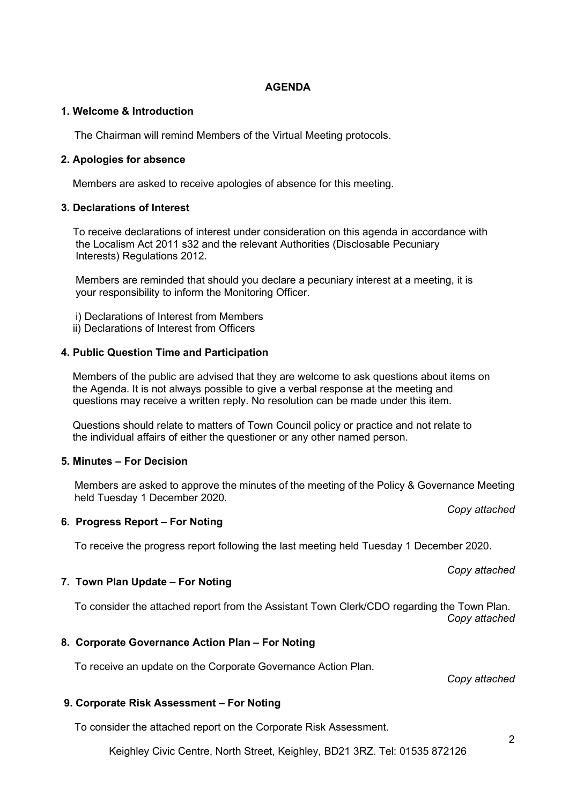#### **AGENDA**

## **1. Welcome & Introduction**

The Chairman will remind Members of the Virtual Meeting protocols.

#### **2. Apologies for absence**

Members are asked to receive apologies of absence for this meeting.

#### **3. Declarations of Interest**

 To receive declarations of interest under consideration on this agenda in accordance with the Localism Act 2011 s32 and the relevant Authorities (Disclosable Pecuniary Interests) Regulations 2012.

 Members are reminded that should you declare a pecuniary interest at a meeting, it is your responsibility to inform the Monitoring Officer.

i) Declarations of Interest from Members

ii) Declarations of Interest from Officers

#### **4. Public Question Time and Participation**

 Members of the public are advised that they are welcome to ask questions about items on the Agenda. It is not always possible to give a verbal response at the meeting and questions may receive a written reply. No resolution can be made under this item.

 Questions should relate to matters of Town Council policy or practice and not relate to the individual affairs of either the questioner or any other named person.

## **5. Minutes – For Decision**

Members are asked to approve the minutes of the meeting of the Policy & Governance Meeting held Tuesday 1 December 2020.

*Copy attached*

## **6. Progress Report – For Noting**

To receive the progress report following the last meeting held Tuesday 1 December 2020.

*Copy attached*

#### **7. Town Plan Update – For Noting**

To consider the attached report from the Assistant Town Clerk/CDO regarding the Town Plan. *Copy attached*

## **8. Corporate Governance Action Plan – For Noting**

To receive an update on the Corporate Governance Action Plan.

*Copy attached*

## **9. Corporate Risk Assessment – For Noting**

To consider the attached report on the Corporate Risk Assessment.

Keighley Civic Centre, North Street, Keighley, BD21 3RZ. Tel: 01535 872126